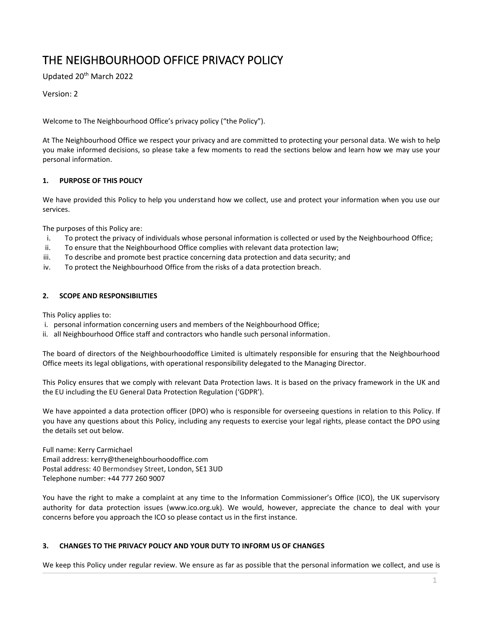# THE NEIGHBOURHOOD OFFICE PRIVACY POLICY

Updated 20th March 2022

Version: 2

Welcome to The Neighbourhood Office's privacy policy ("the Policy").

At The Neighbourhood Office we respect your privacy and are committed to protecting your personal data. We wish to help you make informed decisions, so please take a few moments to read the sections below and learn how we may use your personal information.

## **1. PURPOSE OF THIS POLICY**

We have provided this Policy to help you understand how we collect, use and protect your information when you use our services.

The purposes of this Policy are:

- i. To protect the privacy of individuals whose personal information is collected or used by the Neighbourhood Office;
- ii. To ensure that the Neighbourhood Office complies with relevant data protection law;
- iii. To describe and promote best practice concerning data protection and data security; and
- iv. To protect the Neighbourhood Office from the risks of a data protection breach.

## **2. SCOPE AND RESPONSIBILITIES**

This Policy applies to:

- i. personal information concerning users and members of the Neighbourhood Office;
- ii. all Neighbourhood Office staff and contractors who handle such personal information.

The board of directors of the Neighbourhoodoffice Limited is ultimately responsible for ensuring that the Neighbourhood Office meets its legal obligations, with operational responsibility delegated to the Managing Director.

This Policy ensures that we comply with relevant Data Protection laws. It is based on the privacy framework in the UK and the EU including the EU General Data Protection Regulation ('GDPR').

We have appointed a data protection officer (DPO) who is responsible for overseeing questions in relation to this Policy. If you have any questions about this Policy, including any requests to exercise your legal rights, please contact the DPO using the details set out below.

Full name: Kerry Carmichael Email address: kerry@theneighbourhoodoffice.com Postal address: 40 Bermondsey Street, London, SE1 3UD Telephone number: +44 777 260 9007

You have the right to make a complaint at any time to the Information Commissioner's Office (ICO), the UK supervisory authority for data protection issues [\(www.ico.org.uk\)](http://www.ico.org.uk/). We would, however, appreciate the chance to deal with your concerns before you approach the ICO so please contact us in the first instance.

## **3. CHANGES TO THE PRIVACY POLICY AND YOUR DUTY TO INFORM US OF CHANGES**

We keep this Policy under regular review. We ensure as far as possible that the personal information we collect, and use is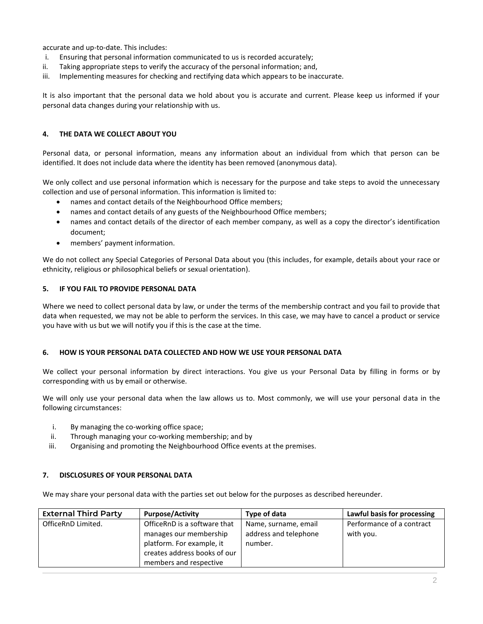accurate and up-to-date. This includes:

- i. Ensuring that personal information communicated to us is recorded accurately;
- ii. Taking appropriate steps to verify the accuracy of the personal information; and,
- iii. Implementing measures for checking and rectifying data which appears to be inaccurate.

It is also important that the personal data we hold about you is accurate and current. Please keep us informed if your personal data changes during your relationship with us.

## **4. THE DATA WE COLLECT ABOUT YOU**

Personal data, or personal information, means any information about an individual from which that person can be identified. It does not include data where the identity has been removed (anonymous data).

We only collect and use personal information which is necessary for the purpose and take steps to avoid the unnecessary collection and use of personal information. This information is limited to:

- names and contact details of the Neighbourhood Office members;
- names and contact details of any guests of the Neighbourhood Office members;
- names and contact details of the director of each member company, as well as a copy the director's identification document;
- members' payment information.

We do not collect any Special Categories of Personal Data about you (this includes, for example, details about your race or ethnicity, religious or philosophical beliefs or sexual orientation).

## **5. IF YOU FAIL TO PROVIDE PERSONAL DATA**

Where we need to collect personal data by law, or under the terms of the membership contract and you fail to provide that data when requested, we may not be able to perform the services. In this case, we may have to cancel a product or service you have with us but we will notify you if this is the case at the time.

## **6. HOW IS YOUR PERSONAL DATA COLLECTED AND HOW WE USE YOUR PERSONAL DATA**

We collect your personal information by direct interactions. You give us your Personal Data by filling in forms or by corresponding with us by email or otherwise.

We will only use your personal data when the law allows us to. Most commonly, we will use your personal data in the following circumstances:

- i. By managing the co-working office space;
- ii. Through managing your co-working membership; and by
- iii. Organising and promoting the Neighbourhood Office events at the premises.

## **7. DISCLOSURES OF YOUR PERSONAL DATA**

We may share your personal data with the parties set out below for the purposes as described hereunder.

| <b>External Third Party</b> | <b>Purpose/Activity</b>      | Type of data          | Lawful basis for processing |
|-----------------------------|------------------------------|-----------------------|-----------------------------|
| OfficeRnD Limited.          | OfficeRnD is a software that | Name, surname, email  | Performance of a contract   |
|                             | manages our membership       | address and telephone | with you.                   |
|                             | platform. For example, it    | number.               |                             |
|                             | creates address books of our |                       |                             |
|                             | members and respective       |                       |                             |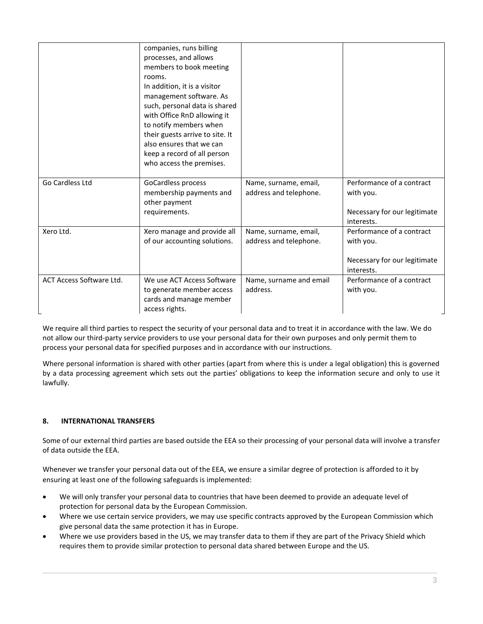|                          | companies, runs billing<br>processes, and allows<br>members to book meeting<br>rooms.<br>In addition, it is a visitor<br>management software. As<br>such, personal data is shared<br>with Office RnD allowing it<br>to notify members when<br>their guests arrive to site. It<br>also ensures that we can<br>keep a record of all person<br>who access the premises. |                                                 |                                                                        |
|--------------------------|----------------------------------------------------------------------------------------------------------------------------------------------------------------------------------------------------------------------------------------------------------------------------------------------------------------------------------------------------------------------|-------------------------------------------------|------------------------------------------------------------------------|
| Go Cardless Ltd          | GoCardless process<br>membership payments and<br>other payment<br>requirements.                                                                                                                                                                                                                                                                                      | Name, surname, email,<br>address and telephone. | Performance of a contract<br>with you.<br>Necessary for our legitimate |
|                          |                                                                                                                                                                                                                                                                                                                                                                      |                                                 | interests.                                                             |
| Xero Ltd.                | Xero manage and provide all                                                                                                                                                                                                                                                                                                                                          | Name, surname, email,                           | Performance of a contract                                              |
|                          | of our accounting solutions.                                                                                                                                                                                                                                                                                                                                         | address and telephone.                          | with you.                                                              |
|                          |                                                                                                                                                                                                                                                                                                                                                                      |                                                 | Necessary for our legitimate<br>interests.                             |
| ACT Access Software Ltd. | We use ACT Access Software<br>to generate member access<br>cards and manage member<br>access rights.                                                                                                                                                                                                                                                                 | Name, surname and email<br>address.             | Performance of a contract<br>with you.                                 |

We require all third parties to respect the security of your personal data and to treat it in accordance with the law. We do not allow our third-party service providers to use your personal data for their own purposes and only permit them to process your personal data for specified purposes and in accordance with our instructions.

Where personal information is shared with other parties (apart from where this is under a legal obligation) this is governed by a data processing agreement which sets out the parties' obligations to keep the information secure and only to use it lawfully.

## **8. INTERNATIONAL TRANSFERS**

Some of our external third parties are based outside the EEA so their processing of your personal data will involve a transfer of data outside the EEA.

Whenever we transfer your personal data out of the EEA, we ensure a similar degree of protection is afforded to it by ensuring at least one of the following safeguards is implemented:

- We will only transfer your personal data to countries that have been deemed to provide an adequate level of protection for personal data by the European Commission.
- Where we use certain service providers, we may use specific contracts approved by the European Commission which give personal data the same protection it has in Europe.
- Where we use providers based in the US, we may transfer data to them if they are part of the Privacy Shield which requires them to provide similar protection to personal data shared between Europe and the US.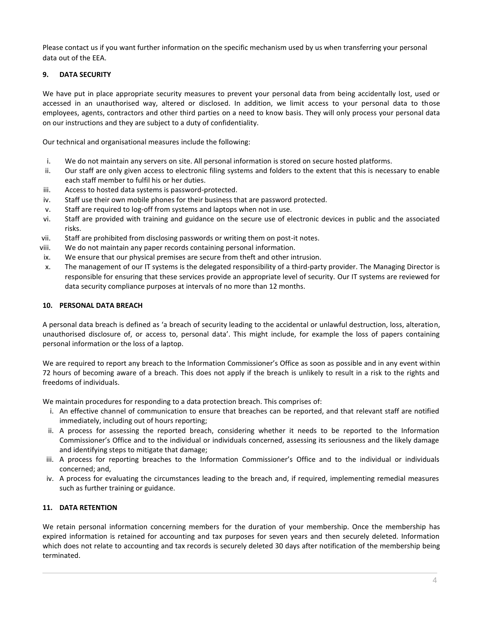Please contact us if you want further information on the specific mechanism used by us when transferring your personal data out of the EEA.

## **9. DATA SECURITY**

We have put in place appropriate security measures to prevent your personal data from being accidentally lost, used or accessed in an unauthorised way, altered or disclosed. In addition, we limit access to your personal data to those employees, agents, contractors and other third parties on a need to know basis. They will only process your personal data on our instructions and they are subject to a duty of confidentiality.

Our technical and organisational measures include the following:

- i. We do not maintain any servers on site. All personal information is stored on secure hosted platforms.
- ii. Our staff are only given access to electronic filing systems and folders to the extent that this is necessary to enable each staff member to fulfil his or her duties.
- iii. Access to hosted data systems is password-protected.
- iv. Staff use their own mobile phones for their business that are password protected.
- v. Staff are required to log-off from systems and laptops when not in use.
- vi. Staff are provided with training and guidance on the secure use of electronic devices in public and the associated risks.
- vii. Staff are prohibited from disclosing passwords or writing them on post-it notes.
- viii. We do not maintain any paper records containing personal information.
- ix. We ensure that our physical premises are secure from theft and other intrusion.
- x. The management of our IT systems is the delegated responsibility of a third-party provider. The Managing Director is responsible for ensuring that these services provide an appropriate level of security. Our IT systems are reviewed for data security compliance purposes at intervals of no more than 12 months.

## **10. PERSONAL DATA BREACH**

A personal data breach is defined as 'a breach of security leading to the accidental or unlawful destruction, loss, alteration, unauthorised disclosure of, or access to, personal data'. This might include, for example the loss of papers containing personal information or the loss of a laptop.

We are required to report any breach to the Information Commissioner's Office as soon as possible and in any event within 72 hours of becoming aware of a breach. This does not apply if the breach is unlikely to result in a risk to the rights and freedoms of individuals.

We maintain procedures for responding to a data protection breach. This comprises of:

- i. An effective channel of communication to ensure that breaches can be reported, and that relevant staff are notified immediately, including out of hours reporting;
- ii. A process for assessing the reported breach, considering whether it needs to be reported to the Information Commissioner's Office and to the individual or individuals concerned, assessing its seriousness and the likely damage and identifying steps to mitigate that damage;
- iii. A process for reporting breaches to the Information Commissioner's Office and to the individual or individuals concerned; and,
- iv. A process for evaluating the circumstances leading to the breach and, if required, implementing remedial measures such as further training or guidance.

## **11. DATA RETENTION**

We retain personal information concerning members for the duration of your membership. Once the membership has expired information is retained for accounting and tax purposes for seven years and then securely deleted. Information which does not relate to accounting and tax records is securely deleted 30 days after notification of the membership being terminated.